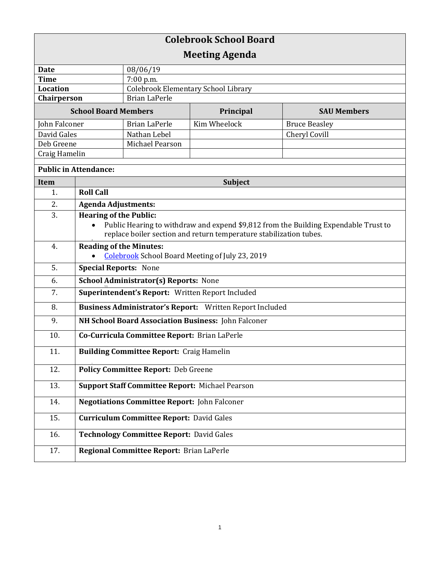| <b>Colebrook School Board</b> |                                                                                     |                                     |                                                        |                      |  |
|-------------------------------|-------------------------------------------------------------------------------------|-------------------------------------|--------------------------------------------------------|----------------------|--|
| <b>Meeting Agenda</b>         |                                                                                     |                                     |                                                        |                      |  |
| <b>Date</b>                   |                                                                                     | 08/06/19                            |                                                        |                      |  |
| <b>Time</b>                   |                                                                                     | 7:00 p.m.                           |                                                        |                      |  |
| <b>Location</b>               |                                                                                     | Colebrook Elementary School Library |                                                        |                      |  |
| Chairperson                   |                                                                                     | <b>Brian LaPerle</b>                |                                                        |                      |  |
| <b>School Board Members</b>   |                                                                                     | Principal                           | <b>SAU Members</b>                                     |                      |  |
| John Falconer                 |                                                                                     | <b>Brian LaPerle</b>                | Kim Wheelock                                           | <b>Bruce Beasley</b> |  |
| David Gales                   |                                                                                     | Nathan Lebel                        |                                                        | Cheryl Covill        |  |
| Deb Greene                    |                                                                                     | Michael Pearson                     |                                                        |                      |  |
| Craig Hamelin                 |                                                                                     |                                     |                                                        |                      |  |
| <b>Public in Attendance:</b>  |                                                                                     |                                     |                                                        |                      |  |
| <b>Item</b>                   | <b>Subject</b>                                                                      |                                     |                                                        |                      |  |
| 1.                            | <b>Roll Call</b>                                                                    |                                     |                                                        |                      |  |
| 2.                            | <b>Agenda Adjustments:</b>                                                          |                                     |                                                        |                      |  |
| 3.                            | <b>Hearing of the Public:</b>                                                       |                                     |                                                        |                      |  |
|                               | Public Hearing to withdraw and expend \$9,812 from the Building Expendable Trust to |                                     |                                                        |                      |  |
|                               | replace boiler section and return temperature stabilization tubes.                  |                                     |                                                        |                      |  |
| 4.                            | <b>Reading of the Minutes:</b>                                                      |                                     |                                                        |                      |  |
|                               |                                                                                     |                                     | <b>Colebrook School Board Meeting of July 23, 2019</b> |                      |  |
| 5.                            | <b>Special Reports: None</b>                                                        |                                     |                                                        |                      |  |
| 6.                            | <b>School Administrator(s) Reports: None</b>                                        |                                     |                                                        |                      |  |
| 7.                            | Superintendent's Report: Written Report Included                                    |                                     |                                                        |                      |  |
| 8.                            | Business Administrator's Report: Written Report Included                            |                                     |                                                        |                      |  |
| 9.                            | NH School Board Association Business: John Falconer                                 |                                     |                                                        |                      |  |
| 10.                           | Co-Curricula Committee Report: Brian LaPerle                                        |                                     |                                                        |                      |  |
| 11.                           | <b>Building Committee Report: Craig Hamelin</b>                                     |                                     |                                                        |                      |  |
| 12.                           | <b>Policy Committee Report: Deb Greene</b>                                          |                                     |                                                        |                      |  |
| 13.                           | <b>Support Staff Committee Report: Michael Pearson</b>                              |                                     |                                                        |                      |  |
| 14.                           | <b>Negotiations Committee Report: John Falconer</b>                                 |                                     |                                                        |                      |  |
| 15.                           | <b>Curriculum Committee Report: David Gales</b>                                     |                                     |                                                        |                      |  |
| 16.                           | Technology Committee Report: David Gales                                            |                                     |                                                        |                      |  |
| 17.                           | Regional Committee Report: Brian LaPerle                                            |                                     |                                                        |                      |  |